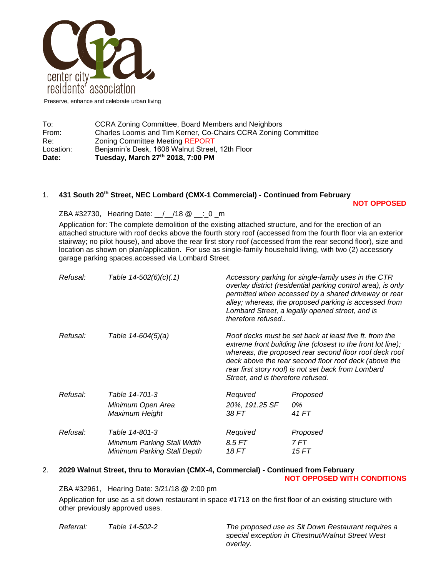

Preserve, enhance and celebrate urban living

| Charles Loomis and Tim Kerner, Co-Chairs CCRA Zoning Committee<br>From:<br><b>Zoning Committee Meeting REPORT</b><br>Re:<br>Benjamin's Desk, 1608 Walnut Street, 12th Floor<br>Location: |  |
|------------------------------------------------------------------------------------------------------------------------------------------------------------------------------------------|--|
|                                                                                                                                                                                          |  |
|                                                                                                                                                                                          |  |
| To:<br>CCRA Zoning Committee, Board Members and Neighbors                                                                                                                                |  |

# 1. **431 South 20th Street, NEC Lombard (CMX-1 Commercial) - Continued from February**

**NOT OPPOSED**

ZBA #32730, Hearing Date: 1 / 18 @ \_: 0 \_ m

Application for: The complete demolition of the existing attached structure, and for the erection of an attached structure with roof decks above the fourth story roof (accessed from the fourth floor via an exterior stairway; no pilot house), and above the rear first story roof (accessed from the rear second floor), size and location as shown on plan/application. For use as single-family household living, with two (2) accessory garage parking spaces.accessed via Lombard Street.

| Refusal: | Table 14-502(6)(c)(.1)                                            | Accessory parking for single-family uses in the CTR<br>overlay district (residential parking control area), is only<br>permitted when accessed by a shared driveway or rear<br>alley; whereas, the proposed parking is accessed from<br>Lombard Street, a legally opened street, and is<br>therefore refused                          |               |
|----------|-------------------------------------------------------------------|---------------------------------------------------------------------------------------------------------------------------------------------------------------------------------------------------------------------------------------------------------------------------------------------------------------------------------------|---------------|
| Refusal: | Table 14-604(5)(a)                                                | Roof decks must be set back at least five ft. from the<br>extreme front building line (closest to the front lot line);<br>whereas, the proposed rear second floor roof deck roof<br>deck above the rear second floor roof deck (above the<br>rear first story roof) is not set back from Lombard<br>Street, and is therefore refused. |               |
| Refusal: | Table 14-701-3                                                    | Required                                                                                                                                                                                                                                                                                                                              | Proposed      |
|          | Minimum Open Area<br>Maximum Height                               | 20%, 191.25 SF<br>38 FT                                                                                                                                                                                                                                                                                                               | 0%<br>41 FT   |
| Refusal: | Table 14-801-3                                                    | Required                                                                                                                                                                                                                                                                                                                              | Proposed      |
|          | Minimum Parking Stall Width<br><b>Minimum Parking Stall Depth</b> | 8.5 FT<br>18 FT                                                                                                                                                                                                                                                                                                                       | 7 FT<br>15 FT |
|          |                                                                   |                                                                                                                                                                                                                                                                                                                                       |               |

## 2. **2029 Walnut Street, thru to Moravian (CMX-4, Commercial) - Continued from February**

#### **NOT OPPOSED WITH CONDITIONS**

ZBA #32961, Hearing Date: 3/21/18 @ 2:00 pm Application for use as a sit down restaurant in space #1713 on the first floor of an existing structure with other previously approved uses.

*Referral: Table 14-502-2 The proposed use as Sit Down Restaurant requires a special exception in Chestnut/Walnut Street West overlay.*